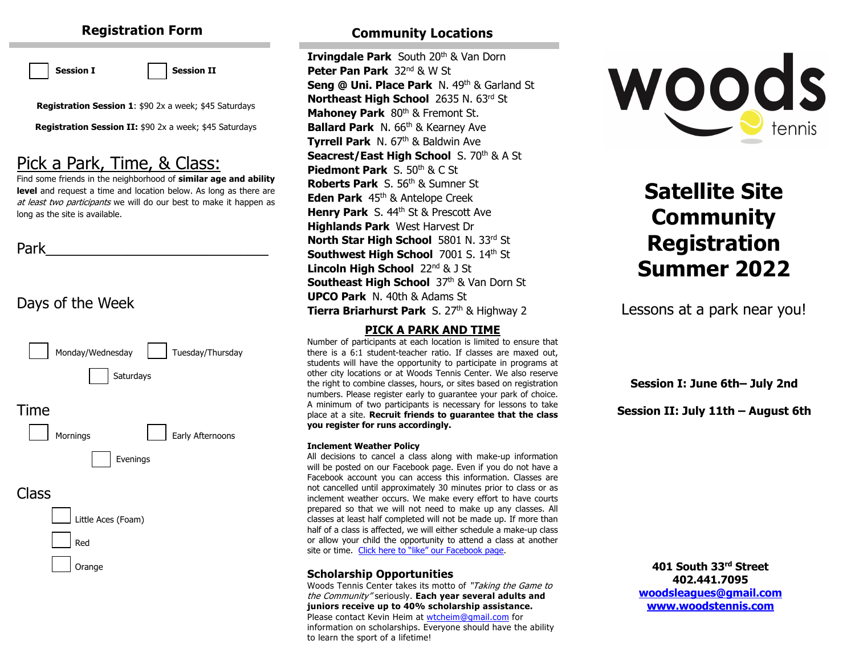## **Registration Form**

**Session I**  Session II

**Registration Session 1**: \$90 2x a week; \$45 Saturdays

**Registration Session II: \$90 2x a week; \$45 Saturdays** 

# Pick a Park, Time, & Class:

Find some friends in the neighborhood of **similar age and ability level** and request a time and location below. As long as there are at least two participants we will do our best to make it happen as long as the site is available.

## Park

# Days of the Week

|       | Monday/Wednesday   | Tuesday/Thursday |
|-------|--------------------|------------------|
|       | Saturdays          |                  |
| Time  |                    |                  |
|       | Mornings           | Early Afternoons |
|       | Evenings           |                  |
| Class |                    |                  |
|       | Little Aces (Foam) |                  |
|       | Red                |                  |

**Orange** 

## **Community Locations**

**Irvingdale Park** South 20<sup>th</sup> & Van Dorn **Peter Pan Park** 32nd & W St **Seng @ Uni. Place Park** N. 49<sup>th</sup> & Garland St **Northeast High School** 2635 N. 63rd St Mahonev Park 80<sup>th</sup> & Fremont St. **Ballard Park** N. 66<sup>th</sup> & Kearney Ave **Tyrrell Park** N. 67<sup>th</sup> & Baldwin Ave **Seacrest/East High School S. 70th & A St. Piedmont Park** S. 50<sup>th</sup> & C St **Roberts Park** S. 56<sup>th</sup> & Sumner St **Eden Park** 45th & Antelope Creek **Henry Park** S. 44<sup>th</sup> St & Prescott Ave **Highlands Park** West Harvest Dr **North Star High School** 5801 N. 33rd St **Southwest High School 7001 S. 14th St Lincoln High School** 22nd & J St **Southeast High School 37th & Van Dorn St UPCO Park** N. 40th & Adams St **Tierra Briarhurst Park** S. 27<sup>th</sup> & Highway 2

### **PICK A PARK AND TIME**

Number of participants at each location is limited to ensure that there is a 6:1 student-teacher ratio. If classes are maxed out, students will have the opportunity to participate in programs at other city locations or at Woods Tennis Center. We also reserve the right to combine classes, hours, or sites based on registration numbers. Please register early to guarantee your park of choice. A minimum of two participants is necessary for lessons to take place at a site. **Recruit friends to guarantee that the class you register for runs accordingly.**

#### **Inclement Weather Policy**

All decisions to cancel a class along with make-up information will be posted on our Facebook page. Even if you do not have a Facebook account you can access this information. Classes are not cancelled until approximately 30 minutes prior to class or as inclement weather occurs. We make every effort to have courts prepared so that we will not need to make up any classes. All classes at least half completed will not be made up. If more than half of a class is affected, we will either schedule a make-up class or allow your child the opportunity to attend a class at another site or time. Click here to "like" our Facebook page.

## **Scholarship Opportunities**

Woods Tennis Center takes its motto of "Taking the Game to the Community" seriously. **Each year several adults and juniors receive up to 40% scholarship assistance.** Please contact Kevin Heim at wtcheim@gmail.com for information on scholarships. Everyone should have the ability to learn the sport of a lifetime!



# **Satellite Site Community Registration Summer 2022**

Lessons at a park near you!

**Session I: June 6th– July 2nd**

**Session II: July 11th – August 6th**

**401 South 33rd Street 402.441.7095 woodsleagues@gmail.com www.woodstennis.com**